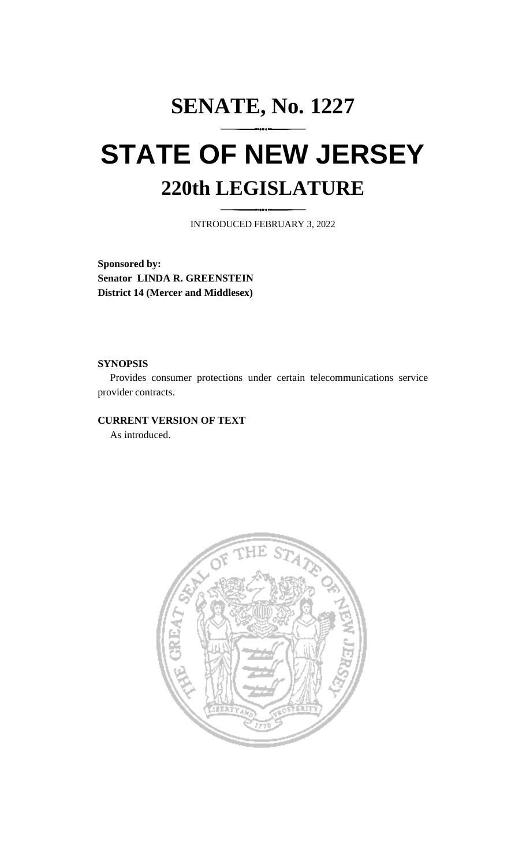# **SENATE, No. 1227 STATE OF NEW JERSEY 220th LEGISLATURE**

INTRODUCED FEBRUARY 3, 2022

**Sponsored by: Senator LINDA R. GREENSTEIN District 14 (Mercer and Middlesex)**

### **SYNOPSIS**

Provides consumer protections under certain telecommunications service provider contracts.

## **CURRENT VERSION OF TEXT**

As introduced.

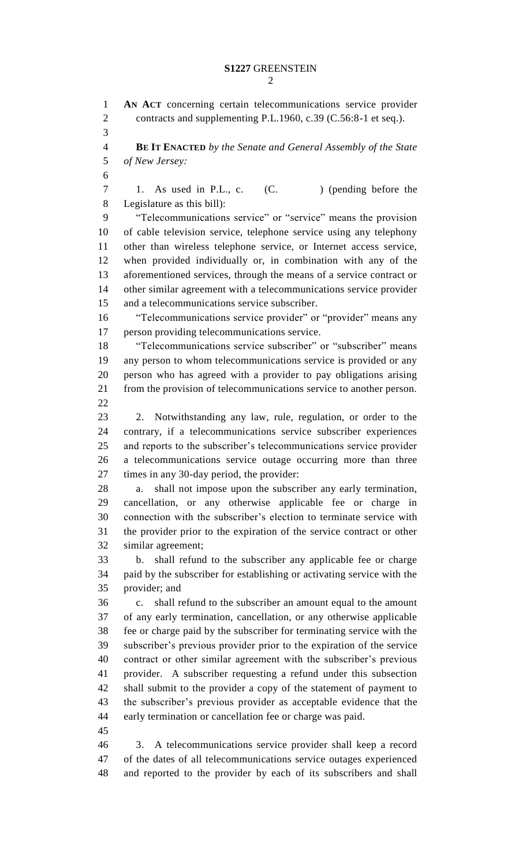```
2
```
 **AN ACT** concerning certain telecommunications service provider 2 contracts and supplementing P.L.1960, c.39 (C.56:8-1 et seq.). **BE IT ENACTED** *by the Senate and General Assembly of the State of New Jersey:* 7 1. As used in P.L., c. (C. ) (pending before the Legislature as this bill): "Telecommunications service" or "service" means the provision of cable television service, telephone service using any telephony other than wireless telephone service, or Internet access service, when provided individually or, in combination with any of the aforementioned services, through the means of a service contract or other similar agreement with a telecommunications service provider and a telecommunications service subscriber. "Telecommunications service provider" or "provider" means any person providing telecommunications service. "Telecommunications service subscriber" or "subscriber" means any person to whom telecommunications service is provided or any person who has agreed with a provider to pay obligations arising from the provision of telecommunications service to another person. 2. Notwithstanding any law, rule, regulation, or order to the contrary, if a telecommunications service subscriber experiences and reports to the subscriber's telecommunications service provider a telecommunications service outage occurring more than three times in any 30-day period, the provider: a. shall not impose upon the subscriber any early termination, cancellation, or any otherwise applicable fee or charge in connection with the subscriber's election to terminate service with the provider prior to the expiration of the service contract or other similar agreement; b. shall refund to the subscriber any applicable fee or charge paid by the subscriber for establishing or activating service with the provider; and c. shall refund to the subscriber an amount equal to the amount of any early termination, cancellation, or any otherwise applicable fee or charge paid by the subscriber for terminating service with the subscriber's previous provider prior to the expiration of the service contract or other similar agreement with the subscriber's previous provider. A subscriber requesting a refund under this subsection shall submit to the provider a copy of the statement of payment to the subscriber's previous provider as acceptable evidence that the early termination or cancellation fee or charge was paid. 3. A telecommunications service provider shall keep a record of the dates of all telecommunications service outages experienced and reported to the provider by each of its subscribers and shall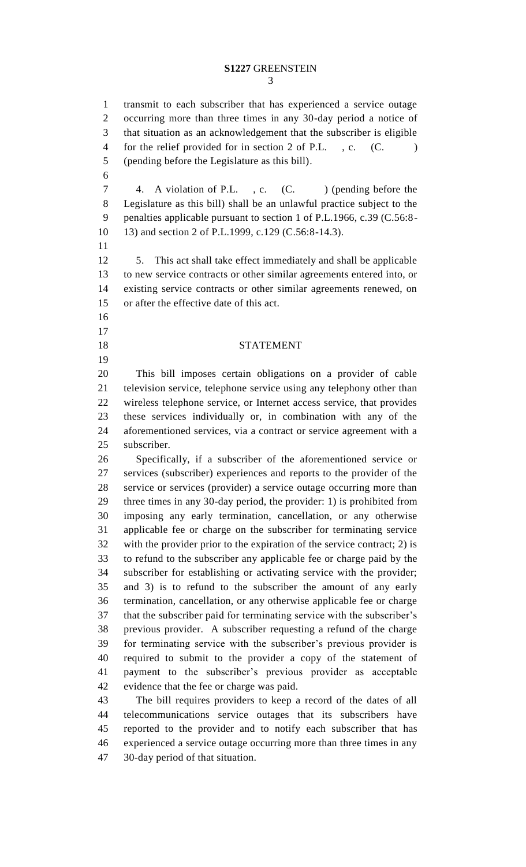# **S1227** GREENSTEIN

 transmit to each subscriber that has experienced a service outage occurring more than three times in any 30-day period a notice of that situation as an acknowledgement that the subscriber is eligible 4 for the relief provided for in section 2 of P.L., c. (C.) (pending before the Legislature as this bill).

7 4. A violation of P.L., c. (C. ) (pending before the Legislature as this bill) shall be an unlawful practice subject to the penalties applicable pursuant to section 1 of P.L.1966, c.39 (C.56:8- 13) and section 2 of P.L.1999, c.129 (C.56:8-14.3).

 5. This act shall take effect immediately and shall be applicable to new service contracts or other similar agreements entered into, or existing service contracts or other similar agreements renewed, on or after the effective date of this act.

- 
- 
- 
- 

## 18 STATEMENT

 This bill imposes certain obligations on a provider of cable television service, telephone service using any telephony other than wireless telephone service, or Internet access service, that provides these services individually or, in combination with any of the aforementioned services, via a contract or service agreement with a subscriber.

 Specifically, if a subscriber of the aforementioned service or services (subscriber) experiences and reports to the provider of the service or services (provider) a service outage occurring more than three times in any 30-day period, the provider: 1) is prohibited from imposing any early termination, cancellation, or any otherwise applicable fee or charge on the subscriber for terminating service with the provider prior to the expiration of the service contract; 2) is to refund to the subscriber any applicable fee or charge paid by the subscriber for establishing or activating service with the provider; and 3) is to refund to the subscriber the amount of any early termination, cancellation, or any otherwise applicable fee or charge that the subscriber paid for terminating service with the subscriber's previous provider. A subscriber requesting a refund of the charge for terminating service with the subscriber's previous provider is required to submit to the provider a copy of the statement of payment to the subscriber's previous provider as acceptable evidence that the fee or charge was paid.

 The bill requires providers to keep a record of the dates of all telecommunications service outages that its subscribers have reported to the provider and to notify each subscriber that has experienced a service outage occurring more than three times in any 30-day period of that situation.